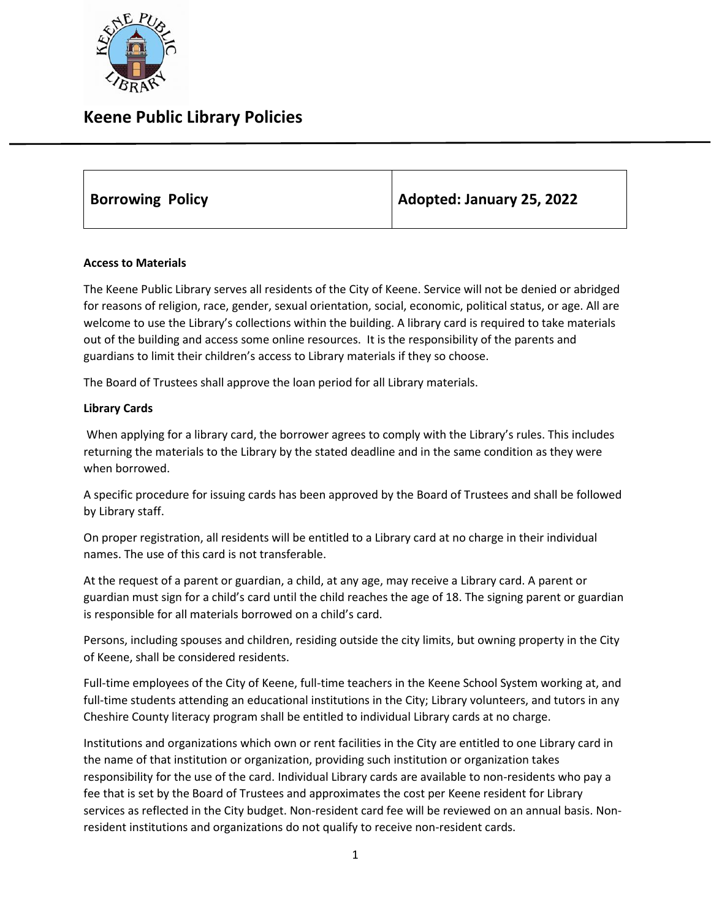

# **Keene Public Library Policies**

**Borrowing Policy Adopted: January 25, 2022**

## **Access to Materials**

The Keene Public Library serves all residents of the City of Keene. Service will not be denied or abridged for reasons of religion, race, gender, sexual orientation, social, economic, political status, or age. All are welcome to use the Library's collections within the building. A library card is required to take materials out of the building and access some online resources. It is the responsibility of the parents and guardians to limit their children's access to Library materials if they so choose.

The Board of Trustees shall approve the loan period for all Library materials.

## **Library Cards**

When applying for a library card, the borrower agrees to comply with the Library's rules. This includes returning the materials to the Library by the stated deadline and in the same condition as they were when borrowed.

A specific procedure for issuing cards has been approved by the Board of Trustees and shall be followed by Library staff.

On proper registration, all residents will be entitled to a Library card at no charge in their individual names. The use of this card is not transferable.

At the request of a parent or guardian, a child, at any age, may receive a Library card. A parent or guardian must sign for a child's card until the child reaches the age of 18. The signing parent or guardian is responsible for all materials borrowed on a child's card.

Persons, including spouses and children, residing outside the city limits, but owning property in the City of Keene, shall be considered residents.

Full-time employees of the City of Keene, full-time teachers in the Keene School System working at, and full-time students attending an educational institutions in the City; Library volunteers, and tutors in any Cheshire County literacy program shall be entitled to individual Library cards at no charge.

Institutions and organizations which own or rent facilities in the City are entitled to one Library card in the name of that institution or organization, providing such institution or organization takes responsibility for the use of the card. Individual Library cards are available to non-residents who pay a fee that is set by the Board of Trustees and approximates the cost per Keene resident for Library services as reflected in the City budget. Non-resident card fee will be reviewed on an annual basis. Nonresident institutions and organizations do not qualify to receive non-resident cards.